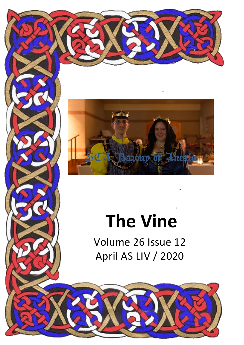



# **The Vine**

Volume 26 Issue 12 April AS LIV / 2020

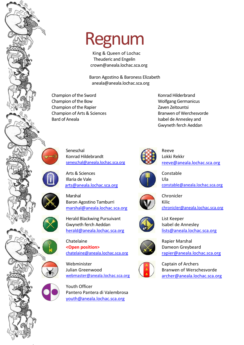

King & Queen of Lochac Theuderic and Engelin [crown@aneala.lochac.sca.org](mailto:crown@aneala.lochac.sca.org) 

Baron Agostino & Baroness Elizabeth aneala@aneala.lochac.sca.org

Champion of the Sword Champion of the Sword Konrad Hilderbrand Champion of the Bow Wolfgang Germanicus Champion of the Rapier **Champion of the Rapier Zaven Zeitountsi** Champion of Arts & Sciences Branwen of Werchesvorde Bard of Aneala Isabel de Annesley and

Gwyneth ferch Aeddan



Seneschal Konrad Hildebrandt [seneschal@aneala.lochac.sca.org](mailto:seneschal@aneala.lochac.sca.org)

Arts & Sciences Illaria de Vale [arts@aneala.lochac.sca.org](mailto:arts@aneala.lochac.sca.org)

Marshal Baron Agostino Tamburri [marshal@aneala.lochac.sca.org](mailto:marshal@aneala.lochac.sca.org)

Herald Blackwing Pursuivant Gwyneth ferch Aeddan [herald@aneala.lochac.sca.org](mailto:herald@aneala.lochac.sca.org)

Chatelaine **<Open position>** [chatelaine@aneala.lochac.sca.org](mailto:chatelaine@aneala.lochac.sca.org)

Webminister Julian Greenwood [webmaster@aneala.lochac.sca.org](mailto:webmaster@aneala.lochac.sca.org)

Youth Officer Pantero Pantera di Valembrosa [youth@aneala.lochac.sca.org](mailto:youth@aneala.lochac.sca.org)



Reeve Lokki Rekkr [reeve@aneala.lochac.sca.org](mailto:reeve@aneala.lochac.sca.org)



Constable Ula [constable@aneala.lochac.sca.org](mailto:constable@aneala.lochac.sca.org)



Chronicler Kilic [chronicler@aneala.lochac.sca.org](mailto:chronicler@aneala.lochac.sca.org)



List Keeper Isabel de Annesley [lists@aneala.lochac.sca.org](mailto:lists@aneala.lochac.sca.org)



Rapier Marshal Dameon Greybeard [rapier@aneala.lochac.sca.org](mailto:rapier@aneala.lochac.sca.org)



Captain of Archers Branwen of Werschesvorde [archer@aneala.lochac.sca.org](mailto:archer@aneala.lochac.sca.org)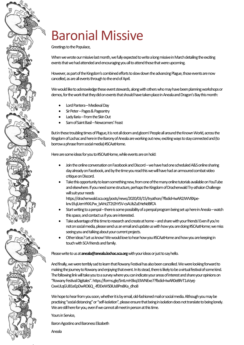## Baronial Missive

Greetings to the Populace,

When we wrote our missive last month, we fully expected to write a long missive in March detailing the exciting events that we had attended and encouraging you all to attend those that were upcoming.

However, as part of the Kingdom's combined efforts to slow down the advancing Plague, those events are now cancelled, as are all events through to the end of April.

We would like to acknowledge these event stewards, along with others who may have been planning workshops or demos, for the work that they did on events that should have taken place in Aneala and Dragon's Bay this month:

- Lord Pantera –Medieval Day
- Sir Peter –Pages & Pageantry
- Lady Ilaria From the Skin Out
- Sam of Saint Basil –Newcomers' Feast

But in these troubling times of Plague, it is not all doom and gloom! People all around the Known World, across the Kingdom of Lochac and here in the Barony of Aneala are working out new, exciting ways to stay connected and (to borrow a phrase from social media) #SCAatHome.

Here are some ideas for you to #SCAatHome, while events are on hold:

- Join the online conversation on Facebook and Discord –we have had one scheduled A&S online sharing day already on Facebook, and by the time you read this we will have had an armoured combat video critique on Discord.
- Take this opportunity to learn something new, from one of the many online tutorials available on YouTube and elsewhere. If you need some structure, perhaps the Kingdom of Drachenwald Try-athalon Challenge will suit your needs

https://drachenwald.sca.org/posts/news/2020/03/15/tryathon/?fbdid=IwAR2JWV8Xpeknv1fujUemYKKLPw\_bAHcZT2t2hY5V-csAUlsZuEHeNdBfCA

- Start writing to a penpal there is some possibility of a penpal program being set up here in Aneala watch this space, and contact us if you are interested.
- Take advantage of this time to research and create at home and share with your friends! Even if you're not on social media, please send us an email and update us with how you are doing #SCAatHome; we miss seeing you and talking about your current projects.
- Other ideas? Let us know! We would love to hear how you #SCAatHome and how you are keeping in touch with SCA friends and family.

Please write to us at **aneala@aneala.lochac.sca.org**with your ideas or just to say hello.

And finally, we were terribly sad to learn that Rowany Festival has also been cancelled. We were looking forward to making the journey to Rowany and enjoying that event. In its stead, there is likely to be a virtual festival of some kind. The following link will take you to a survey where you can indicate your areas of interest and share your opinions on "Rowany Festival Digitales". https://forms.gle/SntLmH3kq33WNExe7?fbclid=IwAR0e8RrT1aVyej-CxwULqGU81eEpDwRO6Q\_-IfDDeWS0iUs8Prx8Ka\_dho8

We hope to hear from you soon, whether it is by email, old-fashioned mail or social media. Although you may be practising "social distancing" or "self-isolation", please ensure that being in isolation does not translate to being lonely. We are still here for you, even if we cannot all meet in person at this time.

Yours in Service,

Baron Agostino and Baroness Elizabeth

Aneala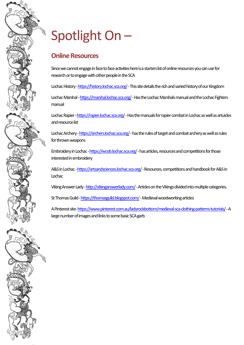## Spotlight On –

### **Online Resources**

Since we cannot engage in face to face activities here is a starters list of online resources you can use for research or to engage with other people in the SCA

Lochac History - https://history.lochac.sca.org/ - This site details the rich and varied history of our Kingdom

Lochac Marshal - https://marshal.lochac.sca.org/ - Has the Lochac Marshals manual and the Lochac Fighters manual

Lochac Rapier - https://rapier.lochac.sca.org/ - Has the manuals for rapier combat in Lochac as well as artuicles and resource list

Lochac Archery - https://archers.lochac.sca.org/ - has the rules of target and combat archery as well as rules for thrown weapons

Embroidery in Lochac - https://wcob.lochac.sca.org/ - has articles, resources and competitions for those interested in embroidery

A&S in Lochac - https://artsandsciences.lochac.sca.org/ - Resources, competitions and handbook for A&S in Lochac

Viking Answer Lady[-http://vikinganswerlady.com/](http://vikinganswerlady.com/)-Articles on the Vikings divided into multiple categories.

St Thomas Guild - https://thomasguild.blogspot.com/-Medieval woodworking articles

A Pinterest site[-https://www.pinterest.com.au/ladyrockbottom/medieval-sca-clothing-patterns-tutorials/](https://www.pinterest.com.au/ladyrockbottom/medieval-sca-clothing-patterns-tutorials/)-A large number of images and links to some basic SCA garb

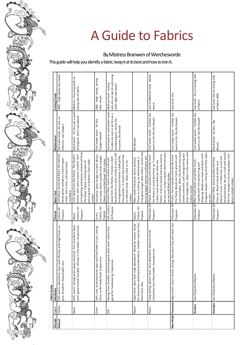

## A Guide to Fabrics

ByMistress Branwen of Werchesvorde

This guide will help you identify a fabric; keep it at its best and how to iron it.

|         |          | Fabric Guide                                                                                                                                        |                                 |                                                                                                                                                                                                                                                                          |                                                                                                                  |                                                                                 |
|---------|----------|-----------------------------------------------------------------------------------------------------------------------------------------------------|---------------------------------|--------------------------------------------------------------------------------------------------------------------------------------------------------------------------------------------------------------------------------------------------------------------------|------------------------------------------------------------------------------------------------------------------|---------------------------------------------------------------------------------|
| Threads | Fabric   | <b>Attributes</b>                                                                                                                                   | Thread                          | Burn Test                                                                                                                                                                                                                                                                | Maitenance                                                                                                       | Ironing Temp                                                                    |
| Natural | Cotton   | Soft, warm, absorbent, dyes well. Shrinks with high heat, no<br>give. Breathes. Reasonable cost.                                                    | Cotton All<br>Purpose           | Cellolose, burns and flares. No melted<br>bead, glows and gives a burnt paper<br>smell. Ash is fine, soft and easily<br>crumbled.                                                                                                                                        | Hot water wash, Air dry, no<br>chlorine, use Oxygen                                                              | 204C - High, damp. Use steam.                                                   |
|         | Wool     | Soft, warm, strong, wicks away moisture, fire retardent. Dyes<br>well, good stretch, durable. Shrinks in hot water. Exspensive.                     | Cotton, All<br>Purpose<br>Wool, | extingishing and leaves a harsh ash from<br>brittle, dark and is easily crushed. Self-<br>curls away from the flame. The bead is<br>burning hair or feathers and a dark<br>the bead. It gives a strong odor of<br>smoke                                                  | Hand wash - Air Dry use a wool<br>detergent. Don't use bleach                                                    | Medium-Pressing cloth on<br>wong side of fabric                                 |
|         | Linen    | but fades in sun, strong.<br>Gives under body heat. Exspensive.<br>Soft, cool, wicksmoisture, dyes well                                             | Cotton, All<br>Pupose<br>Linen, | Cellulose, takes longer to catch. Blows<br>out easily. Burns quickly with a bright<br>flame, no melted bead. Ash is gray.                                                                                                                                                | Cool water wash - Air Dry<br>Oxygen bleach                                                                       | 230C - High, damp, wrong<br>side, steam                                         |
|         | Silk     | dyes well, colour fast,<br>Strong, fine, flexible, elasticity good<br>great for handsewing. Expensive.                                              | Silk, Cotton,<br>All Pupose     | bead which is easily crushed, and is self<br>fine powder. It smells like burned hair<br>extinguishing and leaves a dark gritty,<br>away from the flame. It leaves a dark<br>Protein fiber, burns slowly and curls<br>or charred meat. Gives little or no<br>smoke.       | Hand wash or cool/warm wash,<br>Tumble dy cool or air Dry se a<br>wolldetergent, check the<br>enzymes. No bleach | side, dry on top of a pressing<br>Medium heat - wrong<br>cloth right side down. |
|         | Rayon    | for decorative stitching and embroidery. Varible costs but less<br>High shine, dyes well, high absorbent. Weak for seams. Great<br>than most silks. | Cotton, All<br>Pupose<br>Rayon, | may glow longer than cotton. Smells like<br>burning paper and has a soft grey ash.<br>flame or melting, no melted bead, it<br>Man-made Cellulose, burns without                                                                                                          | No Bleach                                                                                                        |                                                                                 |
|         | Nylon    | Long lasting, plastic 'feel', less absorbent, doesn't shrink,<br>colourfast. Very flammable. Inexspensive.                                          | Polyester All<br>Purpose        | the flame, It could also flare up. It leaves warm or Air Dry No bleach<br>be put out. It has a sweet chemical odor,<br>flame, it burns slowly and may need to<br>Plastic, burns quickly and shrinks from<br>a dark, hard round bead. After the<br>no ash and black smoke | Cool water wash - Tumble Dry                                                                                     | Low to Medium heat - damp,<br>steam                                             |
|         |          | Man Made Polyester High elastic, won't shrink, strong. Not color-fast, will melt, hot.                                                              | Purpose                         | noncrushable. After the flame they bum<br>drips dangerosly. Odor is like celery and<br>slowly and melt, self extinguishing and<br>Polyester All Plastic, burns quickly and shrinks from<br>the flame. Beads are hard, greyish and<br>leaves no ash.                      | Cool water wash - Tumble Dry<br>warm or Air Dry No bleach                                                        | Low heat-dry.                                                                   |
|         | Acrylics | see Polyesters/Nylon                                                                                                                                | Polyester All<br>Purpose        | irregular shapes. Strong acrid fishy odor,<br>dripping. Beads are hard and dark, with<br>Man made, flares up quickly, burns<br>rapidly, with hot sputterring and<br>no ash.                                                                                              | Cool water wash - Tumble Dry<br>warm or Air Dry No bleach                                                        | Low heat - dry on wrong side<br>of fabric                                       |
|         |          | Acetates   see Polyesters/Nylon                                                                                                                     | Polyester All<br>Purpose        | bead and drips. No ash is left and smells<br>like hot vinegar or burning pepper and<br>doesn't crush. It melts into a very hot<br>Protein fibre, burns quickly and may<br>flare up. Bead is hard, brittle and<br>gives a black smoke.                                    | Hand wash - Air Dry - No<br>Bleach                                                                               | Loe heat-Dry on wrong side<br>of fabric 200C                                    |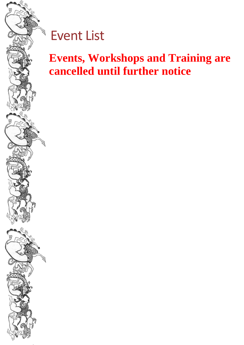

### Event List

### **Events, Workshops and Training are cancelled until further notice**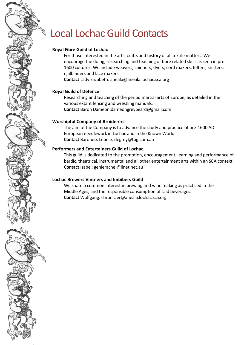### Local Lochac Guild Contacts

#### **Royal Fibre Guild of Lochac**

For those interested in the arts, crafts and history of all textile matters. We encourage the doing, researching and teaching of fibre related skills as seen in pre 1600 cultures. We include weavers, spinners, dyers, cord makers, felters, knitters, njalbinders and lace makers.

**Contact** Lady Elizabeth: [aneala@aneala.lochac.sca.org](mailto:aneala@aneala.lochac.sca.org) 

#### **Royal Guild of Defence**

Researching and teaching of the period martial arts of Europe, as detailed in the various extant fencing and wrestling manuals. **Contact** Baron Dameon:dameongreybeard@gmail.com

#### **Worshipful Company of Broiderers**

The aim of the Company is to advance the study and practice of pre-1600 AD European needlework in Lochac and in the Known World. **Contact** Baroness Leonie: [degrey@tpg.com.au](mailto:degrey@tpg.com.au) 

#### **Performers and Entertainers Guild of Lochac.**

This guild is dedicated to the promotion, encouragement, learning and performance of bardic, theatrical, instrumental and all other entertainment arts within an SCA context. **Contact** Isabel: [genierachel@iinet.net.au](mailto:genierachel@iinet.net.au)

#### **Lochac Brewers Vintners and Imbibers Guild**

We share a common interest in brewing and wine making as practiced in the Middle Ages, and the responsible consumption of said beverages. **Contact** Wolfgang: chronicler@aneala.lochac.sca.org

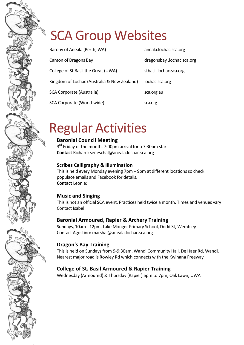### SCA Group Websites

| Barony of Aneala (Perth, WA)                | aneala.lochac.sca.org      |
|---------------------------------------------|----------------------------|
| Canton of Dragons Bay                       | dragonsbay .lochac.sca.org |
| College of St Basil the Great (UWA)         | stbasil.lochac.sca.org     |
| Kingdom of Lochac (Australia & New Zealand) | lochac.sca.org             |
| SCA Corporate (Australia)                   | sca.org.au                 |
| SCA Corporate (World-wide)                  | sca.org                    |

### Regular Activities

### **Baronial Council Meeting**

3<sup>rd</sup> Friday of the month, 7:00pm arrival for a 7:30pm start **Contact** Richard: seneschal@aneala.lochac.sca.org

#### **Scribes Calligraphy & Illumination**

This is held every Monday evening 7pm – 9pm at different locations so check populace emails and Facebook for details. **Contact** Leonie:

### **Music and Singing**

This is not an official SCA event. Practices held twice a month. Times and venues vary Contact Isabel

### **Baronial Armoured, Rapier & Archery Training**

Sundays, 10am - 12pm, Lake Monger Primary School, Dodd St, Wembley Contact Agostino: marshal@aneala.lochac.sca.org

### **Dragon's Bay Training**

This is held on Sundays from 9-9:30am, Wandi Community Hall, De Haer Rd, Wandi. Nearest major road is Rowley Rd which connects with the Kwinana Freeway

### **College of St. Basil Armoured & Rapier Training**

Wednesday (Armoured) & Thursday (Rapier) 5pm to 7pm, Oak Lawn, UWA